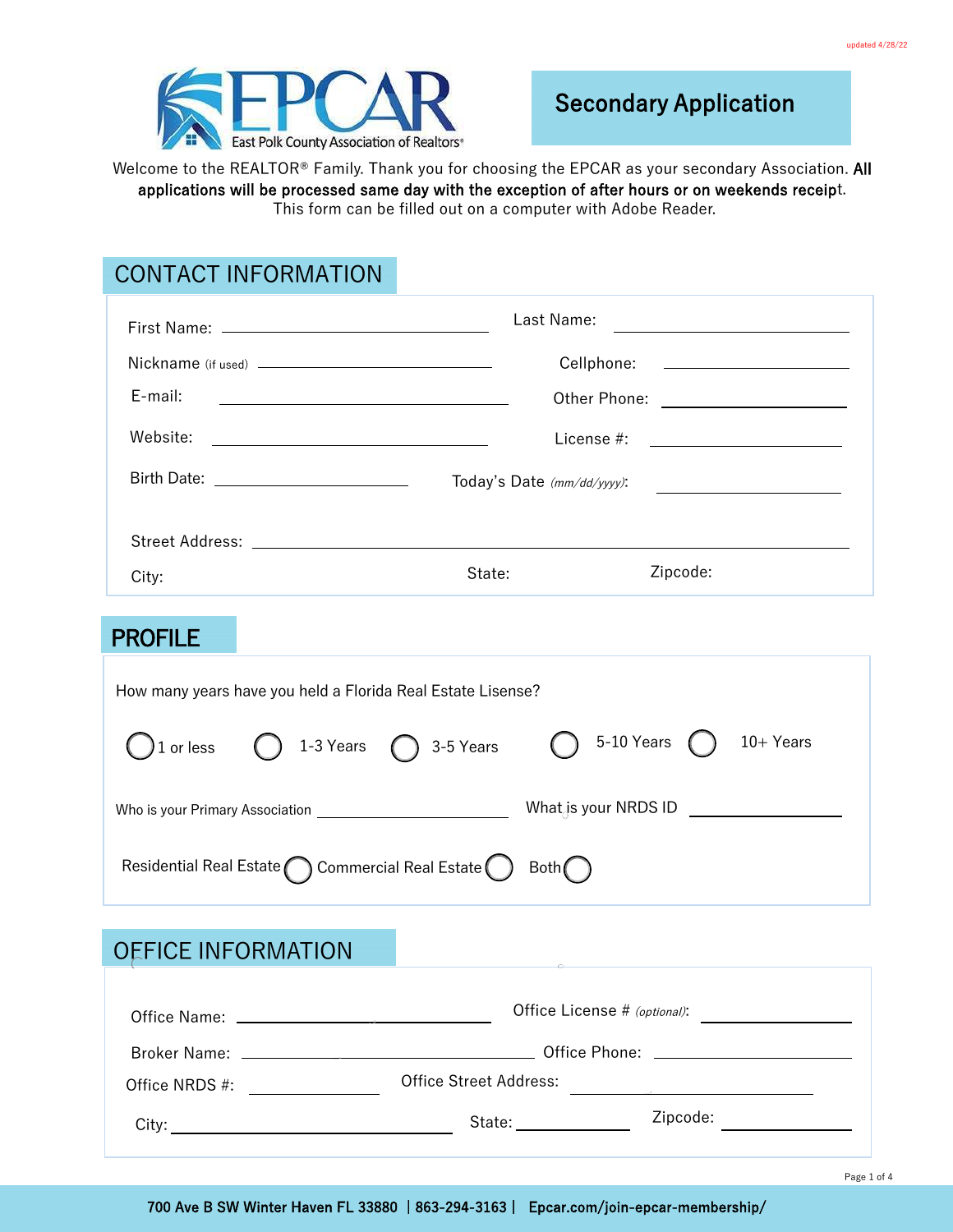

Welcome to the REALTOR® Family. Thank you for choosing the EPCAR as your secondary Association. All applications will be processed same day with the exception of after hours or on weekends receipt. This form can be filled out on a computer with Adobe Reader.

## CONTACT INFORMATION

|                                                             |                                                       |                                                                    | Last Name:                                      | <u> 1989 - Johann Harry Barn, mars ar breist fan de Fryske kommunent (</u>                                                                                                                                                           |  |
|-------------------------------------------------------------|-------------------------------------------------------|--------------------------------------------------------------------|-------------------------------------------------|--------------------------------------------------------------------------------------------------------------------------------------------------------------------------------------------------------------------------------------|--|
|                                                             |                                                       |                                                                    | Cellphone:                                      | <u> 1989 - John Harry Harry Harry Harry Harry Harry Harry Harry Harry Harry Harry Harry Harry Harry Harry Harry Harry Harry Harry Harry Harry Harry Harry Harry Harry Harry Harry Harry Harry Harry Harry Harry Harry Harry Harr</u> |  |
| E-mail:                                                     |                                                       |                                                                    |                                                 |                                                                                                                                                                                                                                      |  |
| Website:                                                    | <u> 1989 - Johann Stoff, fransk politik (d. 1989)</u> |                                                                    | License #: _________________________            |                                                                                                                                                                                                                                      |  |
|                                                             | Birth Date: <u>_________________________</u>          |                                                                    | Today's Date (mm/dd/yyyy):                      |                                                                                                                                                                                                                                      |  |
|                                                             |                                                       |                                                                    |                                                 |                                                                                                                                                                                                                                      |  |
| City:                                                       |                                                       | State:                                                             | Zipcode:                                        |                                                                                                                                                                                                                                      |  |
| <b>PROFILE</b>                                              |                                                       |                                                                    |                                                 |                                                                                                                                                                                                                                      |  |
| How many years have you held a Florida Real Estate Lisense? |                                                       |                                                                    |                                                 |                                                                                                                                                                                                                                      |  |
| 1 or less                                                   |                                                       | 1-3 Years $\bigcap$ 3-5 Years                                      | 5-10 Years                                      | $10+Years$                                                                                                                                                                                                                           |  |
|                                                             |                                                       |                                                                    | What is your NRDS ID <u>___________________</u> |                                                                                                                                                                                                                                      |  |
|                                                             |                                                       | Residential Real Estate $\bigcap$ Commercial Real Estate $\bigcap$ | Both                                            |                                                                                                                                                                                                                                      |  |

## OFFICE INFORMATION

|                | Office License # (optional):                                                                                                                                                                                                   |          |
|----------------|--------------------------------------------------------------------------------------------------------------------------------------------------------------------------------------------------------------------------------|----------|
|                |                                                                                                                                                                                                                                |          |
| Office NRDS #: | Office Street Address:                                                                                                                                                                                                         |          |
|                | State: the state of the state of the state of the state of the state of the state of the state of the state of the state of the state of the state of the state of the state of the state of the state of the state of the sta | Zipcode: |

700 Ave B SW Winter Haven FL 33880 | 863-294-3163 | Epcar.com/join-epcar-membership/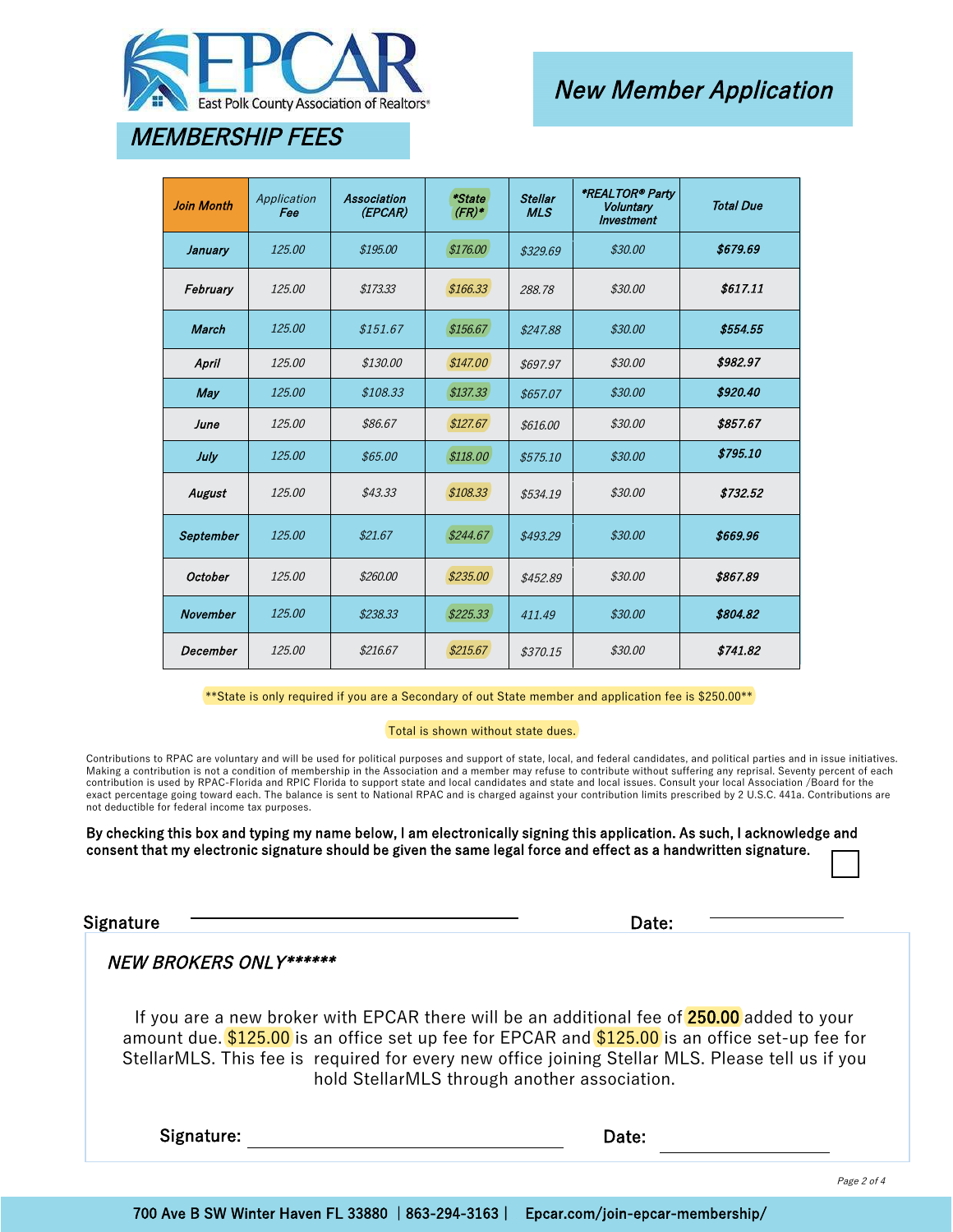

# New Member Application

# MEMBERSHIP FEES

| <b>Join Month</b> | Application<br>Fee | <b>Association</b><br>(EPCAR) | *State<br>$(FR)^*$ | <b>Stellar</b><br><b>MLS</b> | *REALTOR® Party<br><b>Voluntary</b><br><b>Investment</b> | <b>Total Due</b> |
|-------------------|--------------------|-------------------------------|--------------------|------------------------------|----------------------------------------------------------|------------------|
| January           | 125.00             | \$195.00                      | \$176.00           | \$329.69                     | \$30.00                                                  | \$679.69         |
| February          | 125.00             | \$173.33                      | \$166.33           | 288.78                       | \$30.00                                                  | \$617.11         |
| <b>March</b>      | 125.00             | \$151.67                      | \$156.67           | \$247.88                     | \$30.00                                                  | \$554.55         |
| April             | 125.00             | \$130.00                      | \$147.00           | \$697.97                     | \$30.00                                                  | \$982.97         |
| May               | 125.00             | \$108.33                      | \$137.33           | \$657.07                     | \$30.00                                                  | \$920.40         |
| June              | 125.00             | \$86.67                       | \$127.67           | \$616.00                     | \$30.00                                                  | \$857.67         |
| July              | 125.00             | \$65.00                       | \$118.00           | \$575.10                     | \$30.00                                                  | \$795.10         |
| August            | 125.00             | \$43.33                       | \$108.33           | \$534.19                     | \$30.00                                                  | \$732.52         |
| September         | 125.00             | \$21.67                       | \$244.67           | \$493.29                     | \$30.00                                                  | \$669.96         |
| <b>October</b>    | 125.00             | \$260.00                      | \$235.00           | \$452.89                     | \$30.00                                                  | \$867.89         |
| <b>November</b>   | 125.00             | \$238.33                      | \$225.33\$         | 411.49                       | \$30.00                                                  | \$804.82         |
| December          | 125.00             | \$216.67                      | \$215.67           | \$370.15                     | \$30.00                                                  | \$741.82         |

\*\*State is only required if you are a Secondary of out State member and application fee is \$250.00\*\*

#### Total is shown without state dues.

Contributions to RPAC are voluntary and will be used for political purposes and support of state, local, and federal candidates, and political parties and in issue initiatives. Making a contribution is not a condition of membership in the Association and a member may refuse to contribute without suffering any reprisal. Seventy percent of each contribution is used by RPAC-Florida and RPIC Florida to support state and local candidates and state and local issues. Consult your local Association /Board for the exact percentage going toward each. The balance is sent to National RPAC and is charged against your contribution limits prescribed by 2 U.S.C. 441a. Contributions are not deductible for federal income tax purposes.

By checking this box and typing my name below, I am electronically signing this application. As such, I acknowledge and consent that my electronic signature should be given the same legal force and effect as a handwritten signature.

Signature **Contract Contract Contract Contract Contract Contract Contract Contract Contract Contract Contract Contract Contract Contract Contract Contract Contract Contract Contract Contract Contract Contract Contract Cont** 

### NEW BROKERS ONLY\*\*\*\*\*\*

If you are a new broker with EPCAR there will be an additional fee of **250.00** added to your amount due. \$125.00 is an office set up fee for EPCAR and \$125.00 is an office set-up fee for StellarMLS. This fee is required for every new office joining Stellar MLS. Please tell us if you hold StellarMLS through another association.

Signature: Date: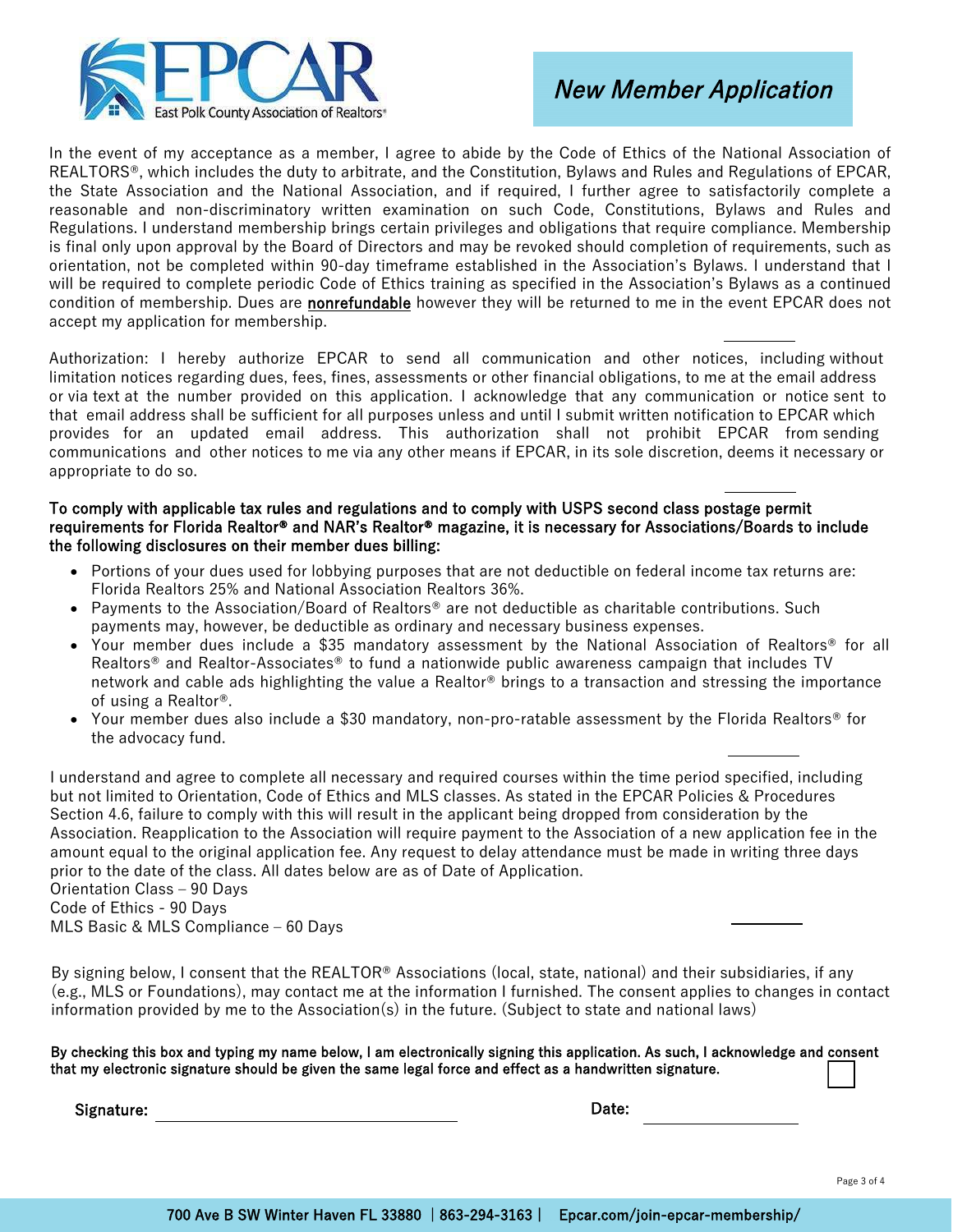

In the event of my acceptance as a member, I agree to abide by the Code of Ethics of the National Association of REALTORS®, which includes the duty to arbitrate, and the Constitution, Bylaws and Rules and Regulations of EPCAR, the State Association and the National Association, and if required, I further agree to satisfactorily complete a reasonable and non-discriminatory written examination on such Code, Constitutions, Bylaws and Rules and Regulations. I understand membership brings certain privileges and obligations that require compliance. Membership is final only upon approval by the Board of Directors and may be revoked should completion of requirements, such as orientation, not be completed within 90-day timeframe established in the Association's Bylaws. I understand that I will be required to complete periodic Code of Ethics training as specified in the Association's Bylaws as a continued condition of membership. Dues are nonrefundable however they will be returned to me in the event EPCAR does not accept my application for membership.

Authorization: I hereby authorize EPCAR to send all communication and other notices, including without limitation notices regarding dues, fees, fines, assessments or other financial obligations, to me at the email address or via text at the number provided on this application. I acknowledge that any communication or notice sent to that email address shall be sufficient for all purposes unless and until I submit written notification to EPCAR which provides for an updated email address. This authorization shall not prohibit EPCAR from sending communications and other notices to me via any other means if EPCAR, in its sole discretion, deems it necessary or appropriate to do so.

### To comply with applicable tax rules and regulations and to comply with USPS second class postage permit requirements for Florida Realtor® and NAR's Realtor® magazine, it is necessary for Associations/Boards to include the following disclosures on their member dues billing:

- Portions of your dues used for lobbying purposes that are not deductible on federal income tax returns are: Florida Realtors 25% and National Association Realtors 36%.
- Payments to the Association/Board of Realtors® are not deductible as charitable contributions. Such payments may, however, be deductible as ordinary and necessary business expenses.
- Your member dues include a \$35 mandatory assessment by the National Association of Realtors® for all Realtors® and Realtor-Associates® to fund a nationwide public awareness campaign that includes TV network and cable ads highlighting the value a Realtor® brings to a transaction and stressing the importance of using a Realtor®.
- Your member dues also include a \$30 mandatory, non-pro-ratable assessment by the Florida Realtors® for the advocacy fund.

I understand and agree to complete all necessary and required courses within the time period specified, including but not limited to Orientation, Code of Ethics and MLS classes. As stated in the EPCAR Policies & Procedures Section 4.6, failure to comply with this will result in the applicant being dropped from consideration by the Association. Reapplication to the Association will require payment to the Association of a new application fee in the amount equal to the original application fee. Any request to delay attendance must be made in writing three days prior to the date of the class. All dates below are as of Date of Application. Orientation Class - 90 Days

Code of Ethics - 90 Days MLS Basic & MLS Compliance  $-60$  Days

By signing below, I consent that the REALTOR<sup>®</sup> Associations (local, state, national) and their subsidiaries, if any (e.g., MLS or Foundations), may contact me at the information I furnished. The consent applies to changes in contact information provided by me to the Association(s) in the future. (Subject to state and national laws)

By checking this box and typing my name below, I am electronically signing this application. As such, I acknowledge and consent that my electronic signature should be given the same legal force and effect as a handwritten signature.

Signature: Date: Description of the contract of the contract of the contract of the contract of the contract of the contract of the contract of the contract of the contract of the contract of the contract of the contract o